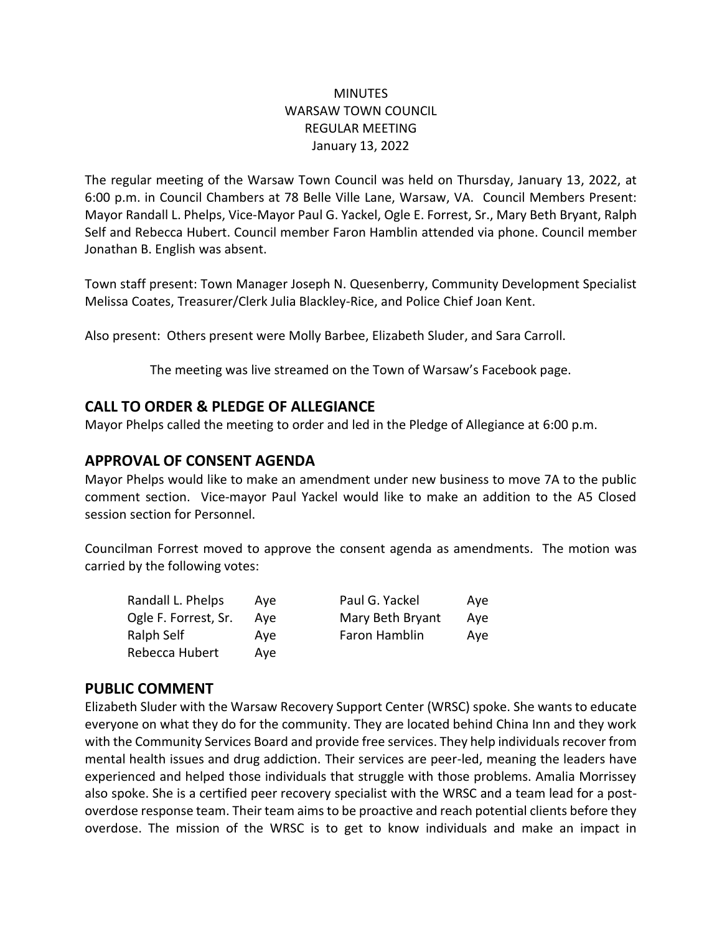### **MINUTES** WARSAW TOWN COUNCIL REGULAR MEETING January 13, 2022

The regular meeting of the Warsaw Town Council was held on Thursday, January 13, 2022, at 6:00 p.m. in Council Chambers at 78 Belle Ville Lane, Warsaw, VA. Council Members Present: Mayor Randall L. Phelps, Vice-Mayor Paul G. Yackel, Ogle E. Forrest, Sr., Mary Beth Bryant, Ralph Self and Rebecca Hubert. Council member Faron Hamblin attended via phone. Council member Jonathan B. English was absent.

Town staff present: Town Manager Joseph N. Quesenberry, Community Development Specialist Melissa Coates, Treasurer/Clerk Julia Blackley-Rice, and Police Chief Joan Kent.

Also present: Others present were Molly Barbee, Elizabeth Sluder, and Sara Carroll.

The meeting was live streamed on the Town of Warsaw's Facebook page.

## **CALL TO ORDER & PLEDGE OF ALLEGIANCE**

Mayor Phelps called the meeting to order and led in the Pledge of Allegiance at 6:00 p.m.

## **APPROVAL OF CONSENT AGENDA**

Mayor Phelps would like to make an amendment under new business to move 7A to the public comment section. Vice-mayor Paul Yackel would like to make an addition to the A5 Closed session section for Personnel.

Councilman Forrest moved to approve the consent agenda as amendments. The motion was carried by the following votes:

| Randall L. Phelps    | Ave | Paul G. Yackel   | Ave |
|----------------------|-----|------------------|-----|
| Ogle F. Forrest, Sr. | Ave | Mary Beth Bryant | Ave |
| Ralph Self           | Ave | Faron Hamblin    | Ave |
| Rebecca Hubert       | Ave |                  |     |

## **PUBLIC COMMENT**

Elizabeth Sluder with the Warsaw Recovery Support Center (WRSC) spoke. She wants to educate everyone on what they do for the community. They are located behind China Inn and they work with the Community Services Board and provide free services. They help individuals recover from mental health issues and drug addiction. Their services are peer-led, meaning the leaders have experienced and helped those individuals that struggle with those problems. Amalia Morrissey also spoke. She is a certified peer recovery specialist with the WRSC and a team lead for a postoverdose response team. Their team aims to be proactive and reach potential clients before they overdose. The mission of the WRSC is to get to know individuals and make an impact in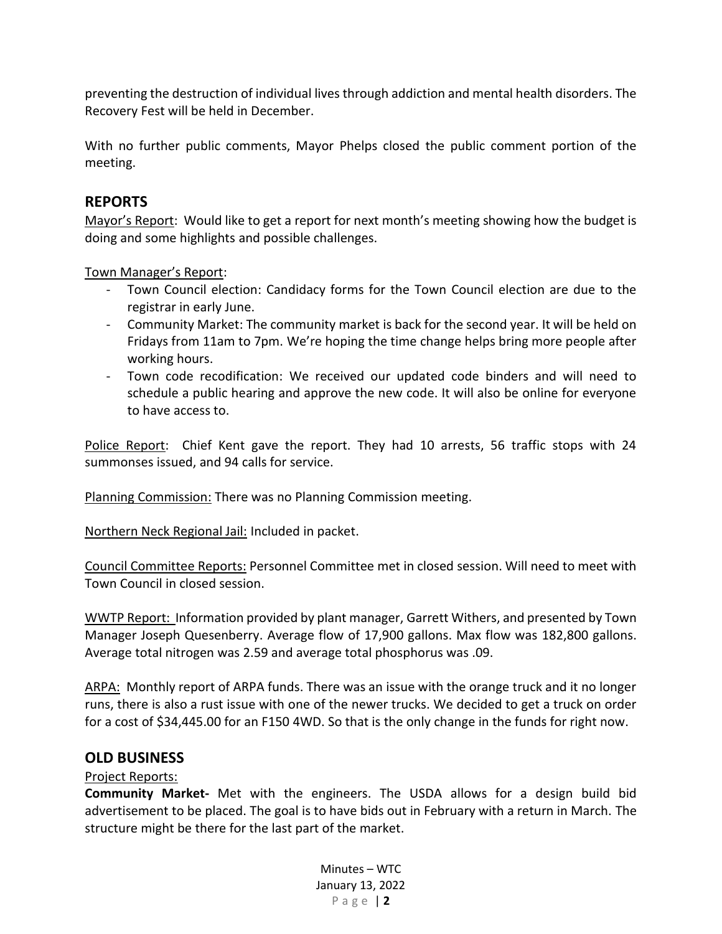preventing the destruction of individual lives through addiction and mental health disorders. The Recovery Fest will be held in December.

With no further public comments, Mayor Phelps closed the public comment portion of the meeting.

## **REPORTS**

Mayor's Report: Would like to get a report for next month's meeting showing how the budget is doing and some highlights and possible challenges.

Town Manager's Report:

- Town Council election: Candidacy forms for the Town Council election are due to the registrar in early June.
- Community Market: The community market is back for the second year. It will be held on Fridays from 11am to 7pm. We're hoping the time change helps bring more people after working hours.
- Town code recodification: We received our updated code binders and will need to schedule a public hearing and approve the new code. It will also be online for everyone to have access to.

Police Report: Chief Kent gave the report. They had 10 arrests, 56 traffic stops with 24 summonses issued, and 94 calls for service.

Planning Commission: There was no Planning Commission meeting.

Northern Neck Regional Jail: Included in packet.

Council Committee Reports: Personnel Committee met in closed session. Will need to meet with Town Council in closed session.

WWTP Report: Information provided by plant manager, Garrett Withers, and presented by Town Manager Joseph Quesenberry. Average flow of 17,900 gallons. Max flow was 182,800 gallons. Average total nitrogen was 2.59 and average total phosphorus was .09.

ARPA: Monthly report of ARPA funds. There was an issue with the orange truck and it no longer runs, there is also a rust issue with one of the newer trucks. We decided to get a truck on order for a cost of \$34,445.00 for an F150 4WD. So that is the only change in the funds for right now.

### **OLD BUSINESS**

### Project Reports:

**Community Market-** Met with the engineers. The USDA allows for a design build bid advertisement to be placed. The goal is to have bids out in February with a return in March. The structure might be there for the last part of the market.

> Minutes – WTC January 13, 2022 P a g e | **2**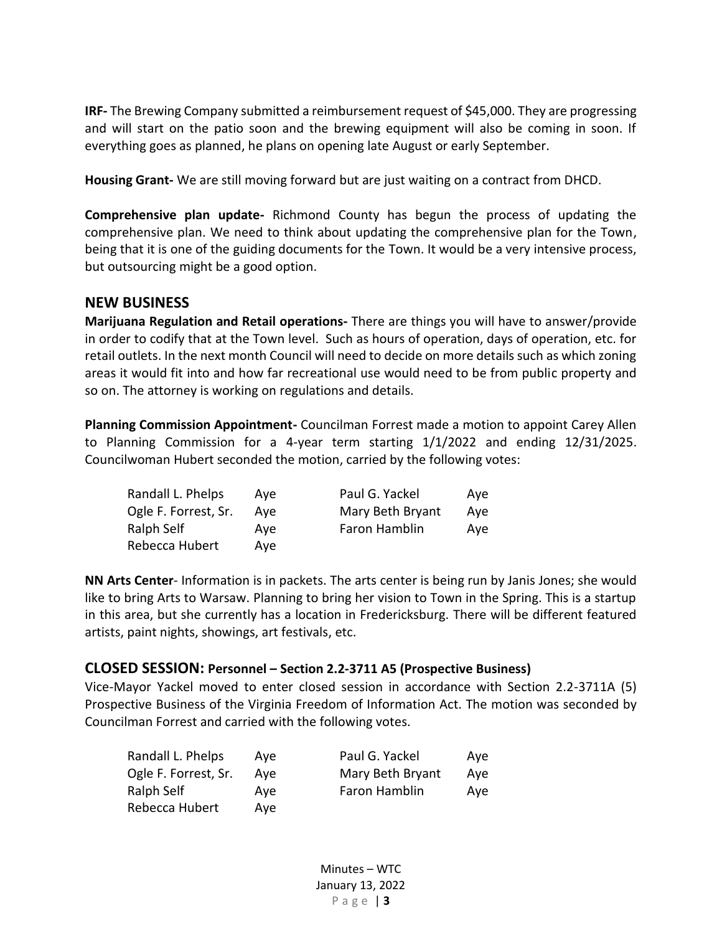**IRF-** The Brewing Company submitted a reimbursement request of \$45,000. They are progressing and will start on the patio soon and the brewing equipment will also be coming in soon. If everything goes as planned, he plans on opening late August or early September.

**Housing Grant-** We are still moving forward but are just waiting on a contract from DHCD.

**Comprehensive plan update-** Richmond County has begun the process of updating the comprehensive plan. We need to think about updating the comprehensive plan for the Town, being that it is one of the guiding documents for the Town. It would be a very intensive process, but outsourcing might be a good option.

#### **NEW BUSINESS**

**Marijuana Regulation and Retail operations-** There are things you will have to answer/provide in order to codify that at the Town level. Such as hours of operation, days of operation, etc. for retail outlets. In the next month Council will need to decide on more details such as which zoning areas it would fit into and how far recreational use would need to be from public property and so on. The attorney is working on regulations and details.

**Planning Commission Appointment-** Councilman Forrest made a motion to appoint Carey Allen to Planning Commission for a 4-year term starting 1/1/2022 and ending 12/31/2025. Councilwoman Hubert seconded the motion, carried by the following votes:

| Randall L. Phelps    | Ave | Paul G. Yackel   | Ave |
|----------------------|-----|------------------|-----|
| Ogle F. Forrest, Sr. | Ave | Mary Beth Bryant | Ave |
| Ralph Self           | Ave | Faron Hamblin    | Ave |
| Rebecca Hubert       | Ave |                  |     |

**NN Arts Center**- Information is in packets. The arts center is being run by Janis Jones; she would like to bring Arts to Warsaw. Planning to bring her vision to Town in the Spring. This is a startup in this area, but she currently has a location in Fredericksburg. There will be different featured artists, paint nights, showings, art festivals, etc.

#### **CLOSED SESSION: Personnel – Section 2.2-3711 A5 (Prospective Business)**

Vice-Mayor Yackel moved to enter closed session in accordance with Section 2.2-3711A (5) Prospective Business of the Virginia Freedom of Information Act. The motion was seconded by Councilman Forrest and carried with the following votes.

| Randall L. Phelps    | Ave | Paul G. Yackel   | Ave |
|----------------------|-----|------------------|-----|
| Ogle F. Forrest, Sr. | Ave | Mary Beth Bryant | Ave |
| Ralph Self           | Ave | Faron Hamblin    | Ave |
| Rebecca Hubert       | Ave |                  |     |